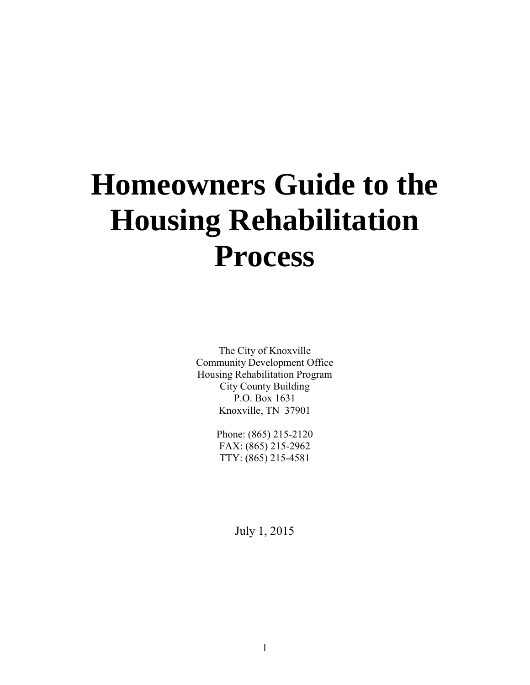# **Homeowners Guide to the Housing Rehabilitation Process**

The City of Knoxville Community Development Office Housing Rehabilitation Program City County Building P.O. Box 1631 Knoxville, TN 37901

> Phone: (865) 215-2120 FAX: (865) 215-2962 TTY: (865) 215-4581

> > July 1, 2015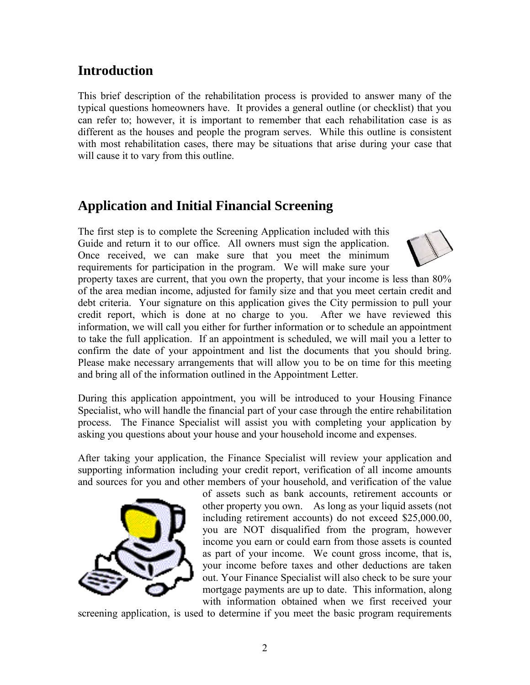## **Introduction**

This brief description of the rehabilitation process is provided to answer many of the typical questions homeowners have. It provides a general outline (or checklist) that you can refer to; however, it is important to remember that each rehabilitation case is as different as the houses and people the program serves. While this outline is consistent with most rehabilitation cases, there may be situations that arise during your case that will cause it to vary from this outline.

## **Application and Initial Financial Screening**

The first step is to complete the Screening Application included with this Guide and return it to our office. All owners must sign the application. Once received, we can make sure that you meet the minimum requirements for participation in the program. We will make sure your



property taxes are current, that you own the property, that your income is less than 80% of the area median income, adjusted for family size and that you meet certain credit and debt criteria. Your signature on this application gives the City permission to pull your credit report, which is done at no charge to you. After we have reviewed this information, we will call you either for further information or to schedule an appointment to take the full application. If an appointment is scheduled, we will mail you a letter to confirm the date of your appointment and list the documents that you should bring. Please make necessary arrangements that will allow you to be on time for this meeting and bring all of the information outlined in the Appointment Letter.

During this application appointment, you will be introduced to your Housing Finance Specialist, who will handle the financial part of your case through the entire rehabilitation process. The Finance Specialist will assist you with completing your application by asking you questions about your house and your household income and expenses.

After taking your application, the Finance Specialist will review your application and supporting information including your credit report, verification of all income amounts and sources for you and other members of your household, and verification of the value



of assets such as bank accounts, retirement accounts or other property you own. As long as your liquid assets (not including retirement accounts) do not exceed \$25,000.00, you are NOT disqualified from the program, however income you earn or could earn from those assets is counted as part of your income. We count gross income, that is, your income before taxes and other deductions are taken out. Your Finance Specialist will also check to be sure your mortgage payments are up to date. This information, along with information obtained when we first received your

screening application, is used to determine if you meet the basic program requirements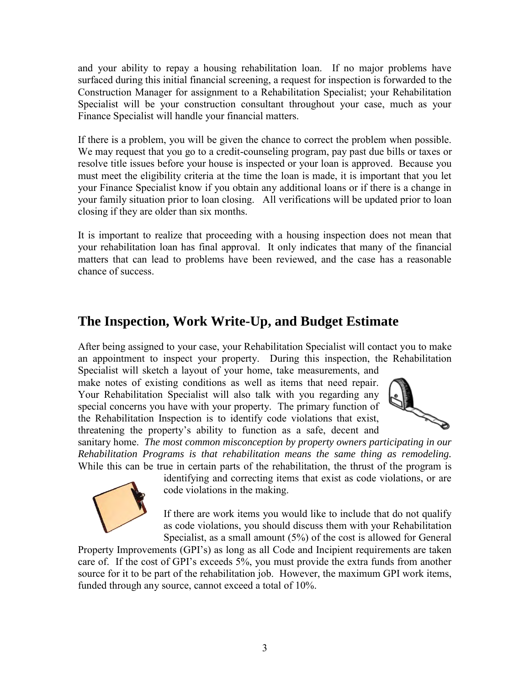and your ability to repay a housing rehabilitation loan. If no major problems have surfaced during this initial financial screening, a request for inspection is forwarded to the Construction Manager for assignment to a Rehabilitation Specialist; your Rehabilitation Specialist will be your construction consultant throughout your case, much as your Finance Specialist will handle your financial matters.

If there is a problem, you will be given the chance to correct the problem when possible. We may request that you go to a credit-counseling program, pay past due bills or taxes or resolve title issues before your house is inspected or your loan is approved. Because you must meet the eligibility criteria at the time the loan is made, it is important that you let your Finance Specialist know if you obtain any additional loans or if there is a change in your family situation prior to loan closing. All verifications will be updated prior to loan closing if they are older than six months.

It is important to realize that proceeding with a housing inspection does not mean that your rehabilitation loan has final approval. It only indicates that many of the financial matters that can lead to problems have been reviewed, and the case has a reasonable chance of success.

#### **The Inspection, Work Write-Up, and Budget Estimate**

After being assigned to your case, your Rehabilitation Specialist will contact you to make an appointment to inspect your property. During this inspection, the Rehabilitation

Specialist will sketch a layout of your home, take measurements, and make notes of existing conditions as well as items that need repair. Your Rehabilitation Specialist will also talk with you regarding any special concerns you have with your property. The primary function of the Rehabilitation Inspection is to identify code violations that exist, threatening the property's ability to function as a safe, decent and



sanitary home. *The most common misconception by property owners participating in our Rehabilitation Programs is that rehabilitation means the same thing as remodeling.* While this can be true in certain parts of the rehabilitation, the thrust of the program is



identifying and correcting items that exist as code violations, or are code violations in the making.

If there are work items you would like to include that do not qualify as code violations, you should discuss them with your Rehabilitation Specialist, as a small amount (5%) of the cost is allowed for General

Property Improvements (GPI's) as long as all Code and Incipient requirements are taken care of. If the cost of GPI's exceeds 5%, you must provide the extra funds from another source for it to be part of the rehabilitation job. However, the maximum GPI work items, funded through any source, cannot exceed a total of 10%.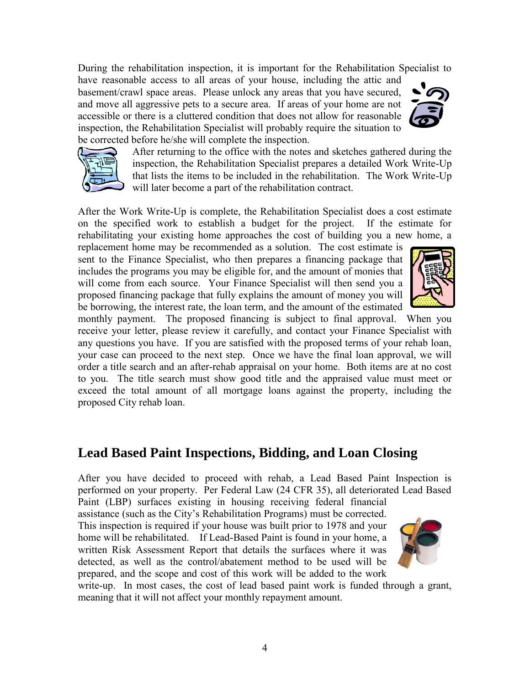During the rehabilitation inspection, it is important for the Rehabilitation Specialist to

have reasonable access to all areas of your house, including the attic and basement/crawl space areas. Please unlock any areas that you have secured, and move all aggressive pets to a secure area. If areas of your home are not accessible or there is a cluttered condition that does not allow for reasonable inspection, the Rehabilitation Specialist will probably require the situation to be corrected before he/she will complete the inspection.





After returning to the office with the notes and sketches gathered during the inspection, the Rehabilitation Specialist prepares a detailed Work Write-Up that lists the items to be included in the rehabilitation. The Work Write-Up will later become a part of the rehabilitation contract.

After the Work Write-Up is complete, the Rehabilitation Specialist does a cost estimate on the specified work to establish a budget for the project. If the estimate for rehabilitating your existing home approaches the cost of building you a new home, a

replacement home may be recommended as a solution. The cost estimate is sent to the Finance Specialist, who then prepares a financing package that includes the programs you may be eligible for, and the amount of monies that will come from each source. Your Finance Specialist will then send you a proposed financing package that fully explains the amount of money you will be borrowing, the interest rate, the loan term, and the amount of the estimated



monthly payment. The proposed financing is subject to final approval. When you receive your letter, please review it carefully, and contact your Finance Specialist with any questions you have. If you are satisfied with the proposed terms of your rehab loan, your case can proceed to the next step. Once we have the final loan approval, we will order a title search and an after-rehab appraisal on your home. Both items are at no cost to you. The title search must show good title and the appraised value must meet or exceed the total amount of all mortgage loans against the property, including the proposed City rehab loan.

#### **Lead Based Paint Inspections, Bidding, and Loan Closing**

After you have decided to proceed with rehab, a Lead Based Paint Inspection is performed on your property. Per Federal Law (24 CFR 35), all deteriorated Lead Based

Paint (LBP) surfaces existing in housing receiving federal financial assistance (such as the City's Rehabilitation Programs) must be corrected. This inspection is required if your house was built prior to 1978 and your home will be rehabilitated. If Lead-Based Paint is found in your home, a written Risk Assessment Report that details the surfaces where it was detected, as well as the control/abatement method to be used will be prepared, and the scope and cost of this work will be added to the work



write-up. In most cases, the cost of lead based paint work is funded through a grant, meaning that it will not affect your monthly repayment amount.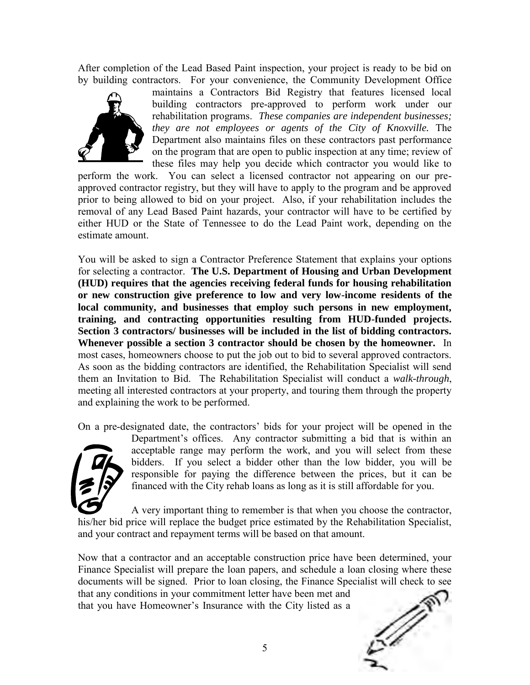After completion of the Lead Based Paint inspection, your project is ready to be bid on by building contractors. For your convenience, the Community Development Office



maintains a Contractors Bid Registry that features licensed local building contractors pre-approved to perform work under our rehabilitation programs. *These companies are independent businesses; they are not employees or agents of the City of Knoxville.* The Department also maintains files on these contractors past performance on the program that are open to public inspection at any time; review of these files may help you decide which contractor you would like to

perform the work. You can select a licensed contractor not appearing on our preapproved contractor registry, but they will have to apply to the program and be approved prior to being allowed to bid on your project. Also, if your rehabilitation includes the removal of any Lead Based Paint hazards, your contractor will have to be certified by either HUD or the State of Tennessee to do the Lead Paint work, depending on the estimate amount.

You will be asked to sign a Contractor Preference Statement that explains your options for selecting a contractor. **The U.S. Department of Housing and Urban Development (HUD) requires that the agencies receiving federal funds for housing rehabilitation or new construction give preference to low and very low-income residents of the local community, and businesses that employ such persons in new employment, training, and contracting opportunities resulting from HUD-funded projects. Section 3 contractors/ businesses will be included in the list of bidding contractors. Whenever possible a section 3 contractor should be chosen by the homeowner.** In most cases, homeowners choose to put the job out to bid to several approved contractors. As soon as the bidding contractors are identified, the Rehabilitation Specialist will send them an Invitation to Bid. The Rehabilitation Specialist will conduct a *walk-through*, meeting all interested contractors at your property, and touring them through the property and explaining the work to be performed.

On a pre-designated date, the contractors' bids for your project will be opened in the



Department's offices. Any contractor submitting a bid that is within an acceptable range may perform the work, and you will select from these bidders. If you select a bidder other than the low bidder, you will be responsible for paying the difference between the prices, but it can be financed with the City rehab loans as long as it is still affordable for you.

A very important thing to remember is that when you choose the contractor, his/her bid price will replace the budget price estimated by the Rehabilitation Specialist, and your contract and repayment terms will be based on that amount.

Now that a contractor and an acceptable construction price have been determined, your Finance Specialist will prepare the loan papers, and schedule a loan closing where these documents will be signed. Prior to loan closing, the Finance Specialist will check to see that any conditions in your commitment letter have been met and that you have Homeowner's Insurance with the City listed as a

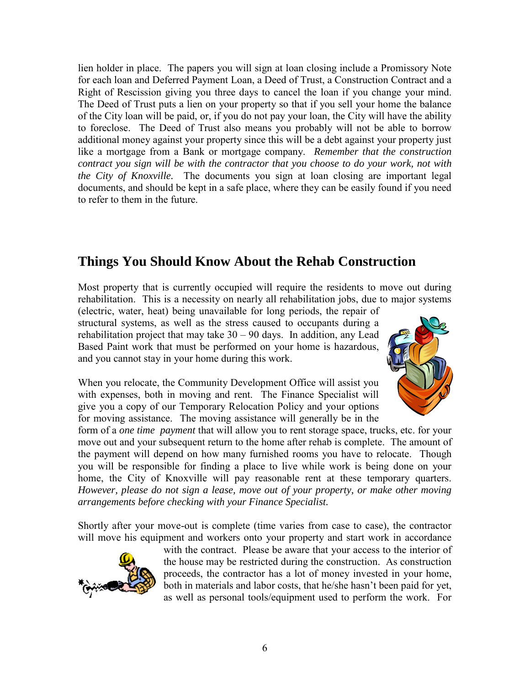lien holder in place. The papers you will sign at loan closing include a Promissory Note for each loan and Deferred Payment Loan, a Deed of Trust, a Construction Contract and a Right of Rescission giving you three days to cancel the loan if you change your mind. The Deed of Trust puts a lien on your property so that if you sell your home the balance of the City loan will be paid, or, if you do not pay your loan, the City will have the ability to foreclose. The Deed of Trust also means you probably will not be able to borrow additional money against your property since this will be a debt against your property just like a mortgage from a Bank or mortgage company. *Remember that the construction contract you sign will be with the contractor that you choose to do your work, not with the City of Knoxville.* The documents you sign at loan closing are important legal documents, and should be kept in a safe place, where they can be easily found if you need to refer to them in the future.

### **Things You Should Know About the Rehab Construction**

Most property that is currently occupied will require the residents to move out during rehabilitation. This is a necessity on nearly all rehabilitation jobs, due to major systems

(electric, water, heat) being unavailable for long periods, the repair of structural systems, as well as the stress caused to occupants during a rehabilitation project that may take  $30 - 90$  days. In addition, any Lead Based Paint work that must be performed on your home is hazardous, and you cannot stay in your home during this work.

When you relocate, the Community Development Office will assist you with expenses, both in moving and rent. The Finance Specialist will give you a copy of our Temporary Relocation Policy and your options for moving assistance. The moving assistance will generally be in the



form of a *one time payment* that will allow you to rent storage space, trucks, etc. for your move out and your subsequent return to the home after rehab is complete. The amount of the payment will depend on how many furnished rooms you have to relocate. Though you will be responsible for finding a place to live while work is being done on your home, the City of Knoxville will pay reasonable rent at these temporary quarters. *However, please do not sign a lease, move out of your property, or make other moving arrangements before checking with your Finance Specialist.*

Shortly after your move-out is complete (time varies from case to case), the contractor will move his equipment and workers onto your property and start work in accordance



with the contract. Please be aware that your access to the interior of the house may be restricted during the construction. As construction proceeds, the contractor has a lot of money invested in your home, both in materials and labor costs, that he/she hasn't been paid for yet, as well as personal tools/equipment used to perform the work. For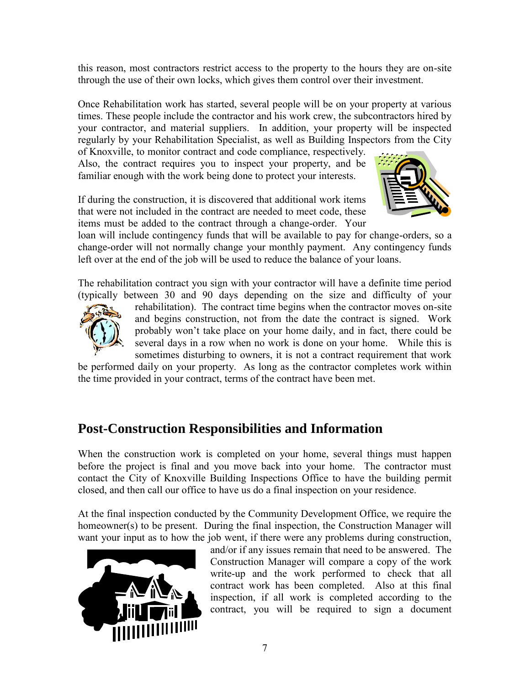this reason, most contractors restrict access to the property to the hours they are on-site through the use of their own locks, which gives them control over their investment.

Once Rehabilitation work has started, several people will be on your property at various times. These people include the contractor and his work crew, the subcontractors hired by your contractor, and material suppliers. In addition, your property will be inspected regularly by your Rehabilitation Specialist, as well as Building Inspectors from the City

of Knoxville, to monitor contract and code compliance, respectively. Also, the contract requires you to inspect your property, and be familiar enough with the work being done to protect your interests.

If during the construction, it is discovered that additional work items that were not included in the contract are needed to meet code, these items must be added to the contract through a change-order. Your



loan will include contingency funds that will be available to pay for change-orders, so a change-order will not normally change your monthly payment. Any contingency funds left over at the end of the job will be used to reduce the balance of your loans.

The rehabilitation contract you sign with your contractor will have a definite time period (typically between 30 and 90 days depending on the size and difficulty of your



rehabilitation). The contract time begins when the contractor moves on-site and begins construction, not from the date the contract is signed. Work probably won't take place on your home daily, and in fact, there could be several days in a row when no work is done on your home. While this is sometimes disturbing to owners, it is not a contract requirement that work

be performed daily on your property. As long as the contractor completes work within the time provided in your contract, terms of the contract have been met.

## **Post-Construction Responsibilities and Information**

When the construction work is completed on your home, several things must happen before the project is final and you move back into your home. The contractor must contact the City of Knoxville Building Inspections Office to have the building permit closed, and then call our office to have us do a final inspection on your residence.

At the final inspection conducted by the Community Development Office, we require the homeowner(s) to be present. During the final inspection, the Construction Manager will want your input as to how the job went, if there were any problems during construction,



and/or if any issues remain that need to be answered. The Construction Manager will compare a copy of the work write-up and the work performed to check that all contract work has been completed. Also at this final inspection, if all work is completed according to the contract, you will be required to sign a document